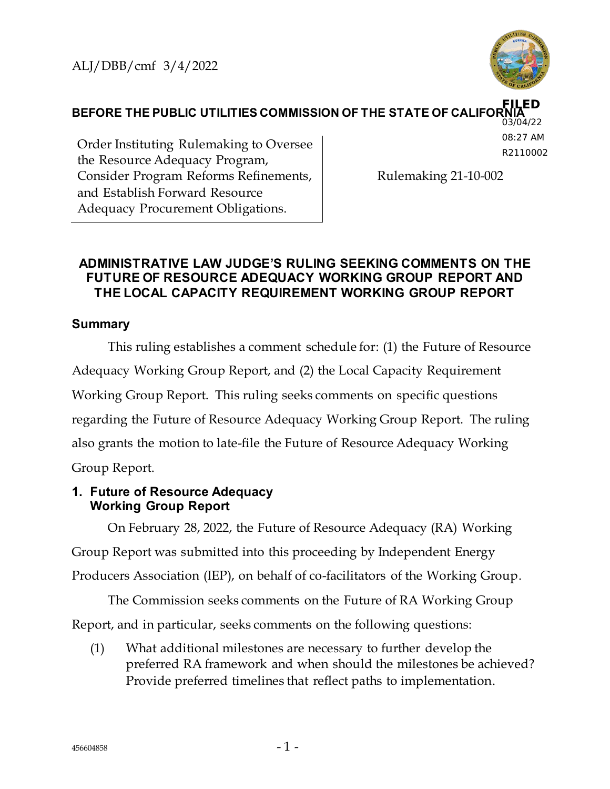

**BEFORE THE PUBLIC UTILITIES COMMISSION OF THE STATE OF CALIFOR FILED** 03/04/22

Order Instituting Rulemaking to Oversee the Resource Adequacy Program, Consider Program Reforms Refinements, and Establish Forward Resource Adequacy Procurement Obligations.

08:27 AM R2110002

Rulemaking 21-10-002

# **ADMINISTRATIVE LAW JUDGE'S RULING SEEKING COMMENTS ON THE FUTURE OF RESOURCE ADEQUACY WORKING GROUP REPORT AND THE LOCAL CAPACITY REQUIREMENT WORKING GROUP REPORT**

# **Summary**

This ruling establishes a comment schedule for: (1) the Future of Resource Adequacy Working Group Report, and (2) the Local Capacity Requirement Working Group Report. This ruling seeks comments on specific questions regarding the Future of Resource Adequacy Working Group Report. The ruling also grants the motion to late-file the Future of Resource Adequacy Working Group Report.

#### **1. Future of Resource Adequacy Working Group Report**

On February 28, 2022, the Future of Resource Adequacy (RA) Working Group Report was submitted into this proceeding by Independent Energy Producers Association (IEP), on behalf of co-facilitators of the Working Group.

The Commission seeks comments on the Future of RA Working Group Report, and in particular, seeks comments on the following questions:

(1) What additional milestones are necessary to further develop the preferred RA framework and when should the milestones be achieved? Provide preferred timelines that reflect paths to implementation.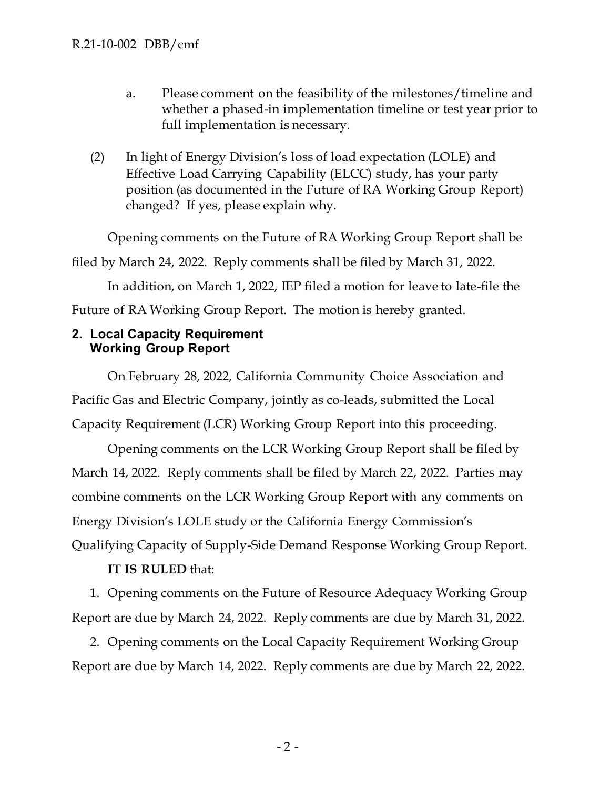- a. Please comment on the feasibility of the milestones/timeline and whether a phased-in implementation timeline or test year prior to full implementation is necessary.
- (2) In light of Energy Division's loss of load expectation (LOLE) and Effective Load Carrying Capability (ELCC) study, has your party position (as documented in the Future of RA Working Group Report) changed? If yes, please explain why.

Opening comments on the Future of RA Working Group Report shall be filed by March 24, 2022. Reply comments shall be filed by March 31, 2022. In addition, on March 1, 2022, IEP filed a motion for leave to late-file the Future of RA Working Group Report. The motion is hereby granted.

### **2. Local Capacity Requirement Working Group Report**

On February 28, 2022, California Community Choice Association and Pacific Gas and Electric Company, jointly as co-leads, submitted the Local Capacity Requirement (LCR) Working Group Report into this proceeding.

Opening comments on the LCR Working Group Report shall be filed by March 14, 2022. Reply comments shall be filed by March 22, 2022. Parties may combine comments on the LCR Working Group Report with any comments on Energy Division's LOLE study or the California Energy Commission's Qualifying Capacity of Supply-Side Demand Response Working Group Report.

# **IT IS RULED** that:

1. Opening comments on the Future of Resource Adequacy Working Group Report are due by March 24, 2022. Reply comments are due by March 31, 2022.

2. Opening comments on the Local Capacity Requirement Working Group Report are due by March 14, 2022. Reply comments are due by March 22, 2022.